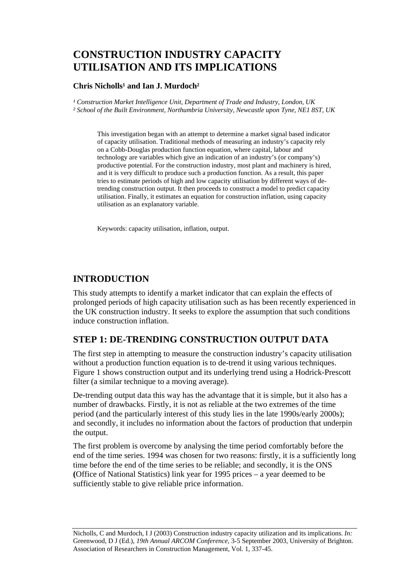# **CONSTRUCTION INDUSTRY CAPACITY UTILISATION AND ITS IMPLICATIONS**

### **Chris Nicholls<sup>1</sup> and Ian J. Murdoch<sup>2</sup>**

<sup>1</sup> Construction Market Intelligence Unit, Department of Trade and Industry, London, UK *² School of the Built Environment, Northumbria University, Newcastle upon Tyne, NE1 8ST, UK* 

This investigation began with an attempt to determine a market signal based indicator of capacity utilisation. Traditional methods of measuring an industry's capacity rely on a Cobb-Douglas production function equation, where capital, labour and technology are variables which give an indication of an industry's (or company's) productive potential. For the construction industry, most plant and machinery is hired, and it is very difficult to produce such a production function. As a result, this paper tries to estimate periods of high and low capacity utilisation by different ways of detrending construction output. It then proceeds to construct a model to predict capacity utilisation. Finally, it estimates an equation for construction inflation, using capacity utilisation as an explanatory variable.

Keywords: capacity utilisation, inflation, output.

### **INTRODUCTION**

This study attempts to identify a market indicator that can explain the effects of prolonged periods of high capacity utilisation such as has been recently experienced in the UK construction industry. It seeks to explore the assumption that such conditions induce construction inflation.

### **STEP 1: DE-TRENDING CONSTRUCTION OUTPUT DATA**

The first step in attempting to measure the construction industry's capacity utilisation without a production function equation is to de-trend it using various techniques. Figure 1 shows construction output and its underlying trend using a Hodrick-Prescott filter (a similar technique to a moving average).

De-trending output data this way has the advantage that it is simple, but it also has a number of drawbacks. Firstly, it is not as reliable at the two extremes of the time period (and the particularly interest of this study lies in the late 1990s/early 2000s); and secondly, it includes no information about the factors of production that underpin the output.

The first problem is overcome by analysing the time period comfortably before the end of the time series. 1994 was chosen for two reasons: firstly, it is a sufficiently long time before the end of the time series to be reliable; and secondly, it is the ONS **(**Office of National Statistics) link year for 1995 prices – a year deemed to be sufficiently stable to give reliable price information.

Nicholls, C and Murdoch, I J (2003) Construction industry capacity utilization and its implications. *In:* Greenwood, D J (Ed.), *19th Annual ARCOM Conference*, 3-5 September 2003, University of Brighton. Association of Researchers in Construction Management, Vol. 1, 337-45.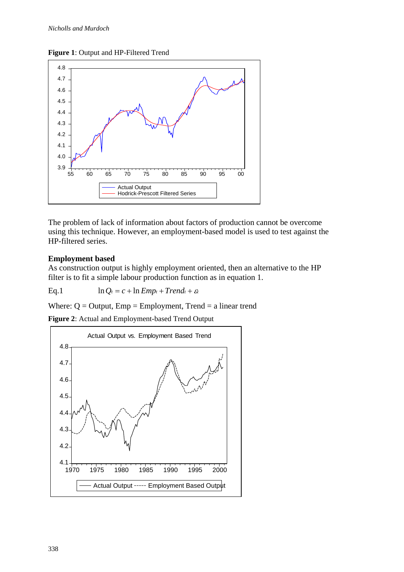#### **Figure 1**: Output and HP-Filtered Trend



The problem of lack of information about factors of production cannot be overcome using this technique. However, an employment-based model is used to test against the HP-filtered series.

### **Employment based**

As construction output is highly employment oriented, then an alternative to the HP filter is to fit a simple labour production function as in equation 1.

Eq.1 
$$
\ln Q_t = c + \ln Emp_t + Trend_t + \varepsilon_t
$$

Where:  $Q =$  Output,  $Emp =$  Employment, Trend  $=$  a linear trend

**Figure 2**: Actual and Employment-based Trend Output

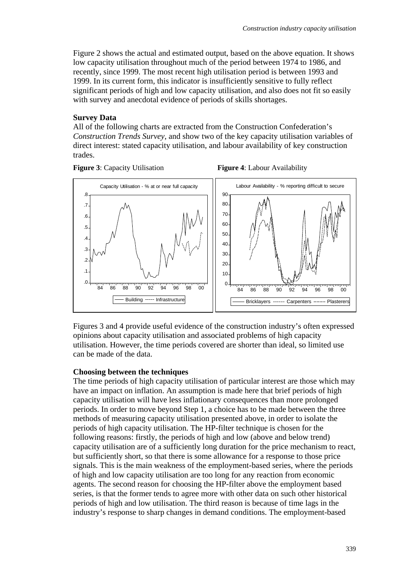Figure 2 shows the actual and estimated output, based on the above equation. It shows low capacity utilisation throughout much of the period between 1974 to 1986, and recently, since 1999. The most recent high utilisation period is between 1993 and 1999. In its current form, this indicator is insufficiently sensitive to fully reflect significant periods of high and low capacity utilisation, and also does not fit so easily with survey and anecdotal evidence of periods of skills shortages.

#### **Survey Data**

All of the following charts are extracted from the Construction Confederation's *Construction Trends Survey*, and show two of the key capacity utilisation variables of direct interest: stated capacity utilisation, and labour availability of key construction trades.







Figures 3 and 4 provide useful evidence of the construction industry's often expressed opinions about capacity utilisation and associated problems of high capacity utilisation. However, the time periods covered are shorter than ideal, so limited use can be made of the data.

#### **Choosing between the techniques**

The time periods of high capacity utilisation of particular interest are those which may have an impact on inflation. An assumption is made here that brief periods of high capacity utilisation will have less inflationary consequences than more prolonged periods. In order to move beyond Step 1, a choice has to be made between the three methods of measuring capacity utilisation presented above, in order to isolate the periods of high capacity utilisation. The HP-filter technique is chosen for the following reasons: firstly, the periods of high and low (above and below trend) capacity utilisation are of a sufficiently long duration for the price mechanism to react, but sufficiently short, so that there is some allowance for a response to those price signals. This is the main weakness of the employment-based series, where the periods of high and low capacity utilisation are too long for any reaction from economic agents. The second reason for choosing the HP-filter above the employment based series, is that the former tends to agree more with other data on such other historical periods of high and low utilisation. The third reason is because of time lags in the industry's response to sharp changes in demand conditions. The employment-based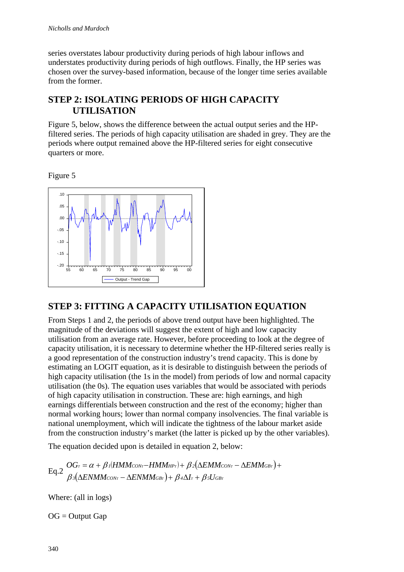series overstates labour productivity during periods of high labour inflows and understates productivity during periods of high outflows. Finally, the HP series was chosen over the survey-based information, because of the longer time series available from the former.

### **STEP 2: ISOLATING PERIODS OF HIGH CAPACITY UTILISATION**

Figure 5, below, shows the difference between the actual output series and the HPfiltered series. The periods of high capacity utilisation are shaded in grey. They are the periods where output remained above the HP-filtered series for eight consecutive quarters or more.

Figure 5



### **STEP 3: FITTING A CAPACITY UTILISATION EQUATION**

From Steps 1 and 2, the periods of above trend output have been highlighted. The magnitude of the deviations will suggest the extent of high and low capacity utilisation from an average rate. However, before proceeding to look at the degree of capacity utilisation, it is necessary to determine whether the HP-filtered series really is a good representation of the construction industry's trend capacity. This is done by estimating an LOGIT equation, as it is desirable to distinguish between the periods of high capacity utilisation (the 1s in the model) from periods of low and normal capacity utilisation (the 0s). The equation uses variables that would be associated with periods of high capacity utilisation in construction. These are: high earnings, and high earnings differentials between construction and the rest of the economy; higher than normal working hours; lower than normal company insolvencies. The final variable is national unemployment, which will indicate the tightness of the labour market aside from the construction industry's market (the latter is picked up by the other variables).

The equation decided upon is detailed in equation 2, below:

 $Eq.2 \begin{align} OG_T &= \alpha + \beta I(HMM_{CONT} - HMM_{HPT}) + \beta 2(\Delta EMM_{CONT} - \Delta EMM_{GF}) \ &= Q \end{align}$  $\left(\Delta E N M M_{CONr}-\Delta E N M M_{GBr}\right)+\beta$ 4 $\Delta I_{\scriptscriptstyle T}+\beta$ 5 $U_{GBr}$ *T T T T T 3* (AENMM cont – AENMM gbt ) + B 4AIt + B 5U gb *1 CON HP 2 CON GB*  $ENMM_{CONr}-\Delta ENMM_{GBr})+\beta _4\Delta I_r+\beta _5U_r$  $OG_r = \alpha + \beta$  i(HMMcont-HMMHPt) +  $\beta$  2( $\Delta EMM_{CONT} - \Delta EMM$  $\beta$ з $(\Delta E N M M_{CONT} - \Delta E N M M_{GBT}) + \beta$ 4 $\Delta I_{\scriptscriptstyle T} + \beta$ .  $\alpha + \beta$  i(HMMconτ $-HMM_{HPT}) + \beta$ )  $\Delta E N M M$ cont —  $\Delta E N M M$ gbt  $)+$   $\beta$ 4 $\Delta I$ t  $+$  $=\alpha + \beta$ ı $(HMM_{CONT}-HMM_{HPT})+ \beta$ 2 $(\Delta EMM_{CONT}-\Delta EMM_{GBT})+$ 

Where: (all in logs)

 $OG = Output Gap$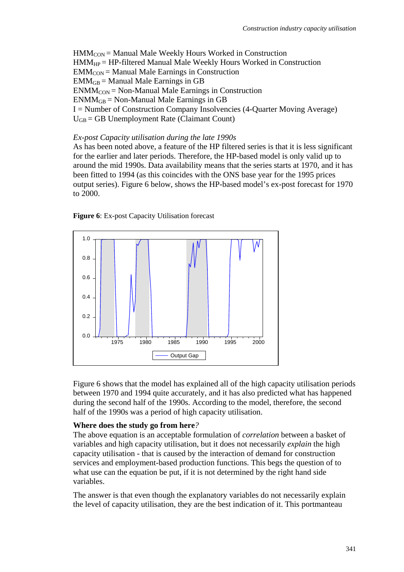$HMM_{CON} =$  Manual Male Weekly Hours Worked in Construction HMMHP = HP-filtered Manual Male Weekly Hours Worked in Construction  $EMM<sub>CON</sub> = Manual Male Earning in Construction$  $EMM<sub>GB</sub> = Manual Male Earnings in GB$  $ENMM_{CON} = Non-Manual Male Earning in Construction$  $ENMM<sub>GB</sub> = Non-Manual Male Earning in GB$ I = Number of Construction Company Insolvencies (4-Quarter Moving Average)  $U<sub>GB</sub> = GB$  Unemployment Rate (Claimant Count)

#### *Ex-post Capacity utilisation during the late 1990s*

As has been noted above, a feature of the HP filtered series is that it is less significant for the earlier and later periods. Therefore, the HP-based model is only valid up to around the mid 1990s. Data availability means that the series starts at 1970, and it has been fitted to 1994 (as this coincides with the ONS base year for the 1995 prices output series). Figure 6 below, shows the HP-based model's ex-post forecast for 1970 to 2000.





Figure 6 shows that the model has explained all of the high capacity utilisation periods between 1970 and 1994 quite accurately, and it has also predicted what has happened during the second half of the 1990s. According to the model, therefore, the second half of the 1990s was a period of high capacity utilisation.

#### **Where does the study go from here***?*

The above equation is an acceptable formulation of *correlation* between a basket of variables and high capacity utilisation, but it does not necessarily *explain* the high capacity utilisation - that is caused by the interaction of demand for construction services and employment-based production functions. This begs the question of to what use can the equation be put, if it is not determined by the right hand side variables.

The answer is that even though the explanatory variables do not necessarily explain the level of capacity utilisation, they are the best indication of it. This portmanteau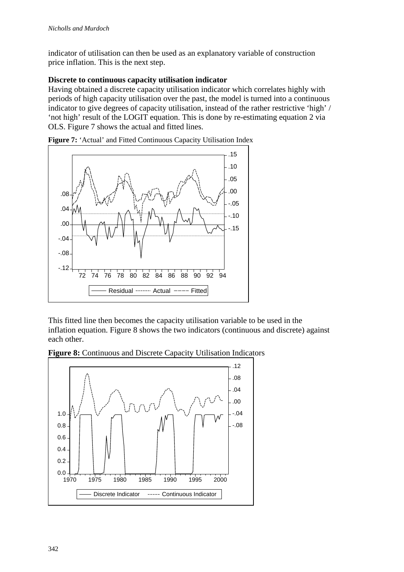indicator of utilisation can then be used as an explanatory variable of construction price inflation. This is the next step.

### **Discrete to continuous capacity utilisation indicator**

Having obtained a discrete capacity utilisation indicator which correlates highly with periods of high capacity utilisation over the past, the model is turned into a continuous indicator to give degrees of capacity utilisation, instead of the rather restrictive 'high' / 'not high' result of the LOGIT equation. This is done by re-estimating equation 2 via OLS. Figure 7 shows the actual and fitted lines.



**Figure 7:** 'Actual' and Fitted Continuous Capacity Utilisation Index

This fitted line then becomes the capacity utilisation variable to be used in the inflation equation. Figure 8 shows the two indicators (continuous and discrete) against each other.



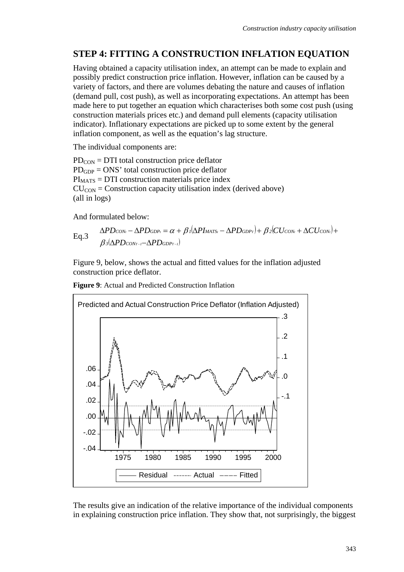## **STEP 4: FITTING A CONSTRUCTION INFLATION EQUATION**

Having obtained a capacity utilisation index, an attempt can be made to explain and possibly predict construction price inflation. However, inflation can be caused by a variety of factors, and there are volumes debating the nature and causes of inflation (demand pull, cost push), as well as incorporating expectations. An attempt has been made here to put together an equation which characterises both some cost push (using construction materials prices etc.) and demand pull elements (capacity utilisation indicator). Inflationary expectations are picked up to some extent by the general inflation component, as well as the equation's lag structure.

The individual components are:

 $PD_{CON} = DTI$  total construction price deflator PDGDP = ONS' total construction price deflator  $PI<sub>MATS</sub> = DTI$  construction materials price index  $CU_{CON} = Construction$  capacity utilisation index (derived above) (all in logs)

And formulated below:

Eq.3 
$$
\Delta PD_{CON_{t}} - \Delta PD_{GDP_{t}} = \alpha + \beta \sqrt{\Delta PI_{MATS_{t}} - \Delta PD_{GDP_{t}}} + \beta \sqrt{\Delta U_{CON_{t}} + \Delta CU_{CON_{t}}}
$$
+
$$
\beta \sqrt{\Delta PD_{CON_{t-1}} - \Delta PD_{GDP_{t-1}}}
$$

Figure 9, below, shows the actual and fitted values for the inflation adjusted construction price deflator.

**Figure 9**: Actual and Predicted Construction Inflation



The results give an indication of the relative importance of the individual components in explaining construction price inflation. They show that, not surprisingly, the biggest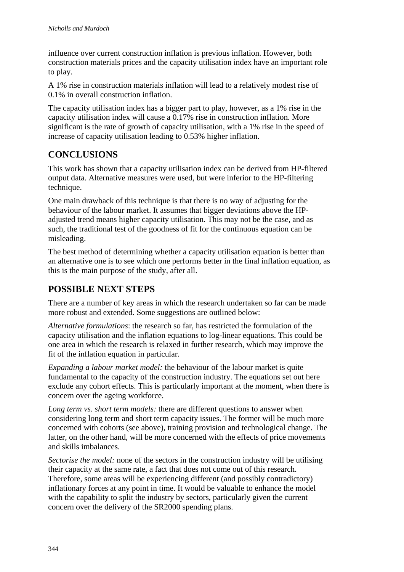influence over current construction inflation is previous inflation. However, both construction materials prices and the capacity utilisation index have an important role to play.

A 1% rise in construction materials inflation will lead to a relatively modest rise of 0.1% in overall construction inflation.

The capacity utilisation index has a bigger part to play, however, as a 1% rise in the capacity utilisation index will cause a 0.17% rise in construction inflation. More significant is the rate of growth of capacity utilisation, with a 1% rise in the speed of increase of capacity utilisation leading to 0.53% higher inflation.

## **CONCLUSIONS**

This work has shown that a capacity utilisation index can be derived from HP-filtered output data. Alternative measures were used, but were inferior to the HP-filtering technique.

One main drawback of this technique is that there is no way of adjusting for the behaviour of the labour market. It assumes that bigger deviations above the HPadjusted trend means higher capacity utilisation. This may not be the case, and as such, the traditional test of the goodness of fit for the continuous equation can be misleading.

The best method of determining whether a capacity utilisation equation is better than an alternative one is to see which one performs better in the final inflation equation, as this is the main purpose of the study, after all.

## **POSSIBLE NEXT STEPS**

There are a number of key areas in which the research undertaken so far can be made more robust and extended. Some suggestions are outlined below:

*Alternative formulations*: the research so far, has restricted the formulation of the capacity utilisation and the inflation equations to log-linear equations. This could be one area in which the research is relaxed in further research, which may improve the fit of the inflation equation in particular.

*Expanding a labour market model:* the behaviour of the labour market is quite fundamental to the capacity of the construction industry. The equations set out here exclude any cohort effects. This is particularly important at the moment, when there is concern over the ageing workforce.

*Long term vs. short term models:* there are different questions to answer when considering long term and short term capacity issues. The former will be much more concerned with cohorts (see above), training provision and technological change. The latter, on the other hand, will be more concerned with the effects of price movements and skills imbalances.

*Sectorise the model:* none of the sectors in the construction industry will be utilising their capacity at the same rate, a fact that does not come out of this research. Therefore, some areas will be experiencing different (and possibly contradictory) inflationary forces at any point in time. It would be valuable to enhance the model with the capability to split the industry by sectors, particularly given the current concern over the delivery of the SR2000 spending plans.